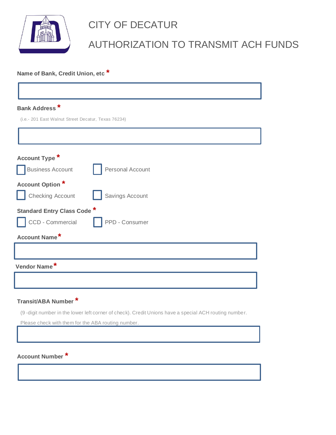

# CITY OF DECATUR

## AUTHORIZATION TO TRANSMIT ACH FUNDS

### **Name of Bank, Credit Union, etc \***

| Account Type <sup>*</sup>          |                  |  |
|------------------------------------|------------------|--|
| <b>Business Account</b>            | Personal Account |  |
| <b>Account Option *</b>            |                  |  |
| <b>Checking Account</b>            | Savings Account  |  |
| <b>Standard Entry Class Code *</b> |                  |  |
| CCD - Commercial                   | PPD - Consumer   |  |
| Account Name*                      |                  |  |

### **Transit/ABA Number \***

(9 -digit number in the lower left corner of check). Credit Unions have a special ACH routing number.

Please check with them for the ABA routing number.

**Account Number \***